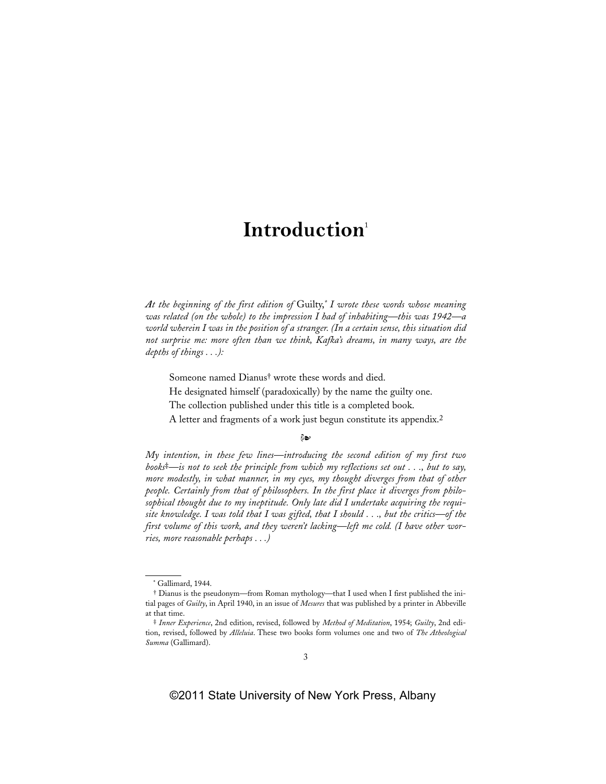## **Introduction**<sup>1</sup>

*At the beginning of the first edition of* Guilty,*\* I wrote these words whose meaning was related (on the whole) to the impression I had of inhabiting—this was 1942—a world wherein I was in the position of a stranger. (In a certain sense, this situation did not surprise me: more often than we think, Kafka's dreams, in many ways, are the depths of things . . .):*

Someone named Dianus† wrote these words and died.

He designated himself (paradoxically) by the name the guilty one.

The collection published under this title is a completed book.

A letter and fragments of a work just begun constitute its appendix.2

ధికా

*My intention, in these few lines—introducing the second edition of my first two books*‡*—is not to seek the principle from which my reflections set out . . ., but to say, more modestly, in what manner, in my eyes, my thought diverges from that of other people. Certainly from that of philosophers. In the first place it diverges from philosophical thought due to my ineptitude. Only late did I undertake acquiring the requisite knowledge. I was told that I was gifted, that I should . . ., but the critics—of the first volume of this work, and they weren't lacking—left me cold. (I have other worries, more reasonable perhaps . . .)*

<sup>\*</sup> Gallimard, 1944.

<sup>†</sup> Dianus is the pseudonym—from Roman mythology—that I used when I first published the initial pages of *Guilty*, in April 1940, in an issue of *Mesures* that was published by a printer in Abbeville at that time.

<sup>‡</sup> *Inner Experience*, 2nd edition, revised, followed by *Method of Meditation*, 1954; *Guilty*, 2nd edition, revised, followed by *Alleluia*. These two books form volumes one and two of *The Atheological Summa* (Gallimard).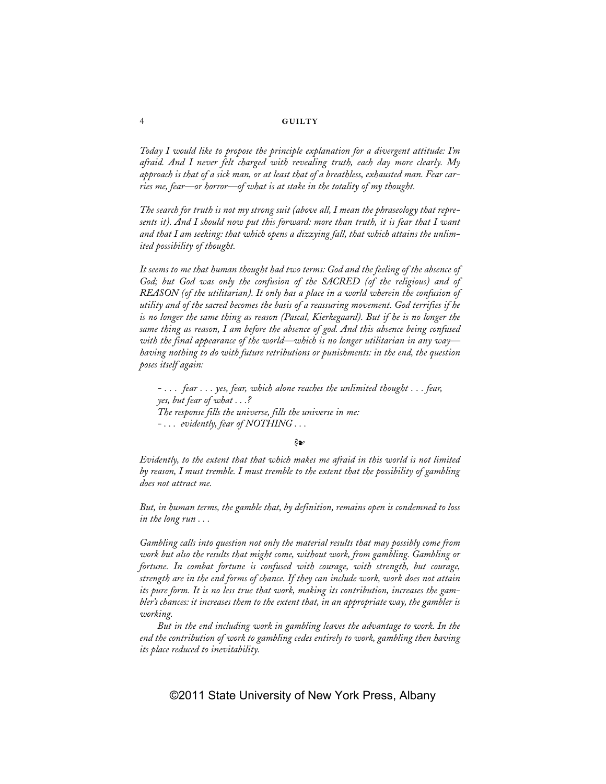## 4 **GUILTY**

*Today I would like to propose the principle explanation for a divergent attitude: I'm afraid. And I never felt charged with revealing truth, each day more clearly. My approach is that of a sick man, or at least that of a breathless, exhausted man. Fear carries me, fear—or horror—of what is at stake in the totality of my thought.*

*The search for truth is not my strong suit (above all, I mean the phraseology that represents it). And I should now put this forward: more than truth, it is fear that I want and that I am seeking: that which opens a dizzying fall, that which attains the unlimited possibility of thought.*

*It seems to me that human thought had two terms: God and the feeling of the absence of God; but God was only the confusion of the SACRED (of the religious) and of REASON (of the utilitarian). It only has a place in a world wherein the confusion of utility and of the sacred becomes the basis of a reassuring movement. God terrifies if he is no longer the same thing as reason (Pascal, Kierkegaard). But if he is no longer the same thing as reason, I am before the absence of god. And this absence being confused with the final appearance of the world—which is no longer utilitarian in any way having nothing to do with future retributions or punishments: in the end, the question poses itself again:*

*- . . . fear . . . yes, fear, which alone reaches the unlimited thought . . . fear, yes, but fear of what . . .? The response fills the universe, fills the universe in me: - . . . evidently, fear of NOTHING . . .*

డి

*Evidently, to the extent that that which makes me afraid in this world is not limited by reason, I must tremble. I must tremble to the extent that the possibility of gambling does not attract me.*

*But, in human terms, the gamble that, by definition, remains open is condemned to loss in the long run . . .*

*Gambling calls into question not only the material results that may possibly come from work but also the results that might come, without work, from gambling. Gambling or fortune. In combat fortune is confused with courage, with strength, but courage, strength are in the end forms of chance. If they can include work, work does not attain its pure form. It is no less true that work, making its contribution, increases the gambler's chances: it increases them to the extent that, in an appropriate way, the gambler is working.*

*But in the end including work in gambling leaves the advantage to work. In the end the contribution of work to gambling cedes entirely to work, gambling then having its place reduced to inevitability.*